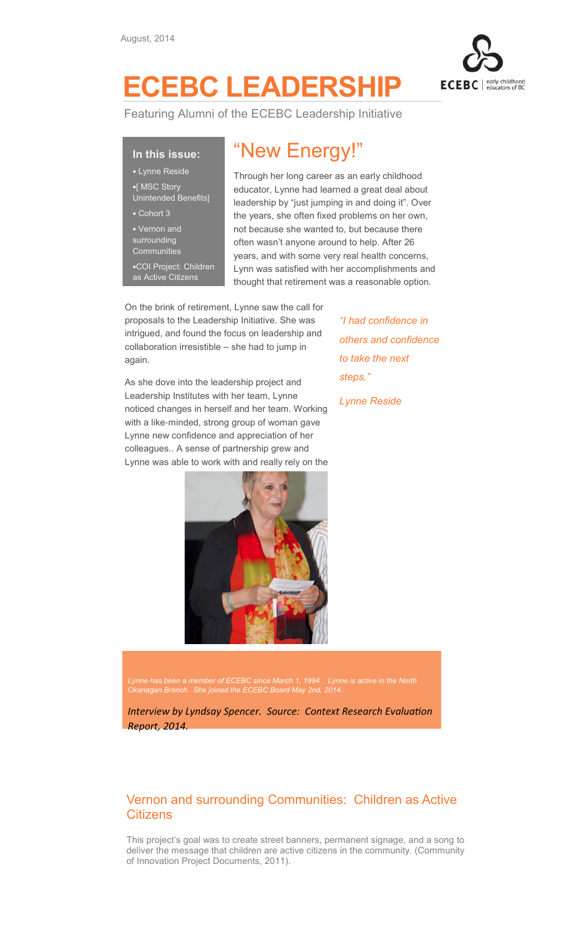

## ECEBC LEADERSHIP

Featuring Alumni of the ECEBC Leadership Initiative

## In this issue:

- Lynne Reside •[ MSC Story Unintended Benefits]
- Cohort 3
- Vernon and surrounding **Communities** •COI Project: Children

as Active Citizens

## "New Energy!"

Through her long career as an early childhood educator, Lynne had learned a great deal about leadership by "just jumping in and doing it". Over the years, she often fixed problems on her own, not because she wanted to, but because there often wasn't anyone around to help. After 26 years, and with some very real health concerns, Lynn was satisfied with her accomplishments and thought that retirement was a reasonable option.

On the brink of retirement, Lynne saw the call for proposals to the Leadership Initiative. She was intrigued, and found the focus on leadership and collaboration irresistible – she had to jump in again.

As she dove into the leadership project and Leadership Institutes with her team, Lynne noticed changes in herself and her team. Working with a like-minded, strong group of woman gave Lynne new confidence and appreciation of her colleagues.. A sense of partnership grew and Lynne was able to work with and really rely on the



others and confidence to take the next steps."

"I had confidence in

Lynne Reside

Lynne has been a member of ECEBC since March 1, 1994 . Lynne is active in the North Okanagan Branch. She joined the ECEBC Board May 2nd, 2014.

Interview by Lyndsay Spencer. Source: Context Research Evaluation Report, 2014.

## Vernon and surrounding Communities: Children as Active **Citizens**

This project's goal was to create street banners, permanent signage, and a song to deliver the message that children are active citizens in the community. (Community of Innovation Project Documents, 2011).